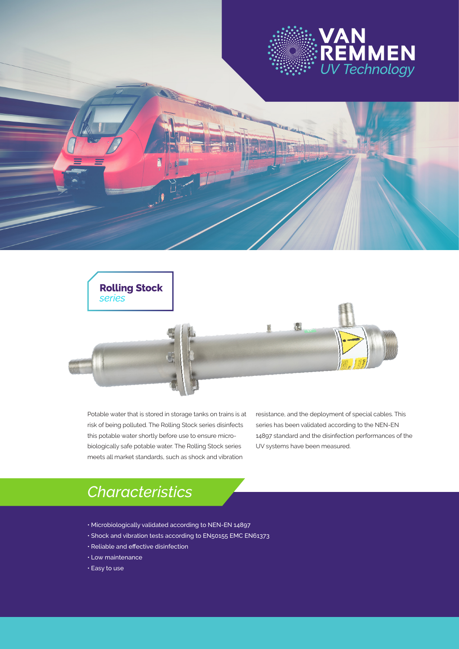



Potable water that is stored in storage tanks on trains is at risk of being polluted. The Rolling Stock series disinfects this potable water shortly before use to ensure microbiologically safe potable water. The Rolling Stock series meets all market standards, such as shock and vibration

resistance, and the deployment of special cables. This series has been validated according to the NEN-EN 14897 standard and the disinfection performances of the UV systems have been measured.

# *Characteristics*

- Microbiologically validated according to NEN-EN 14897
- Shock and vibration tests according to EN50155 EMC EN61373
- Reliable and effective disinfection
- Low maintenance
- Easy to use